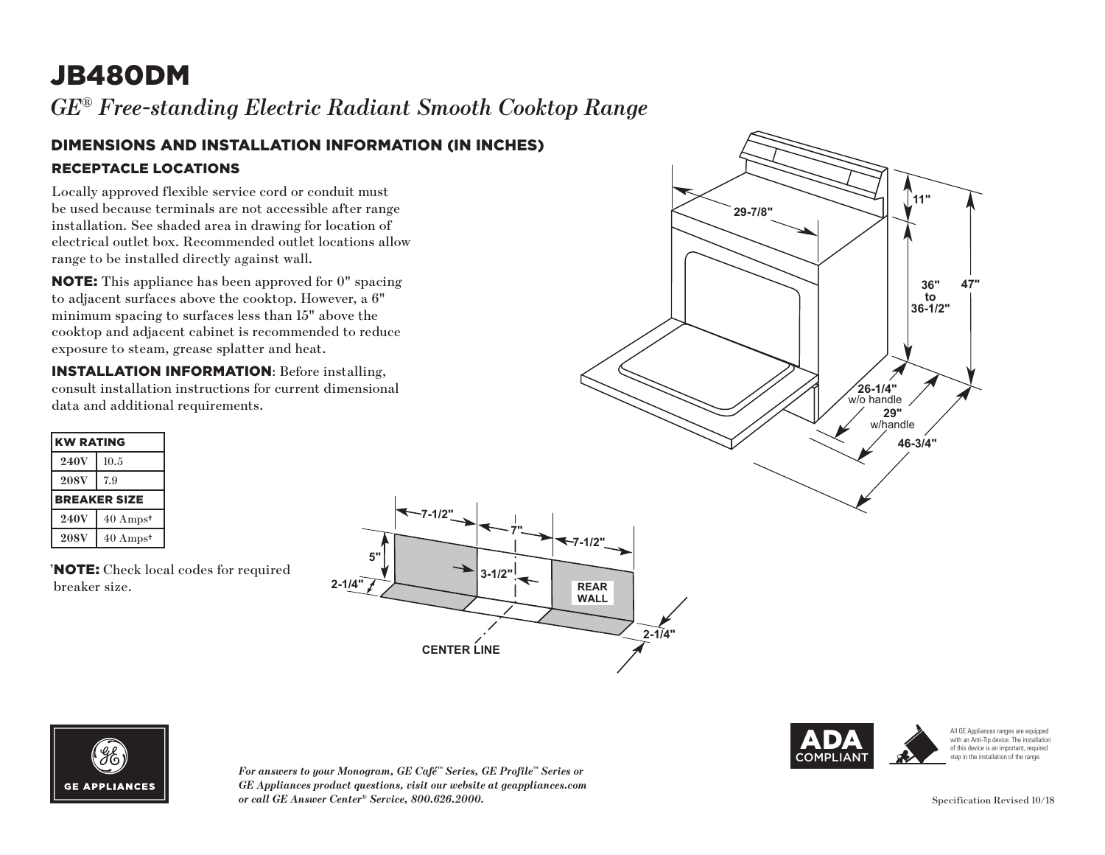# JB480DM

*GE® Free-standing Electric Radiant Smooth Cooktop Range* 

#### DIMENSIONS AND INSTALLATION INFORMATION (IN INCHES) RECEPTACLE LOCATIONS

Locally approved flexible service cord or conduit must be used because terminals are not accessible after range installation. See shaded area in drawing for location of electrical outlet box. Recommended outlet locations allow range to be installed directly against wall.

NOTE: This appliance has been approved for 0" spacing to adjacent surfaces above the cooktop. However, a 6" minimum spacing to surfaces less than 15" above the cooktop and adjacent cabinet is recommended to reduce exposure to steam, grease splatter and heat.

INSTALLATION INFORMATION: Before installing, consult installation instructions for current dimensional data and additional requirements.

| <b>KW RATING</b>    |                     |
|---------------------|---------------------|
| <b>240V</b>         | 10.5                |
| <b>208V</b>         | 7.9                 |
| <b>BREAKER SIZE</b> |                     |
| <b>240V</b>         | $40 \text{ Amps}^*$ |
| <b>208V</b>         | $40 \text{ Amps}^*$ |

† NOTE: Check local codes for required breaker size.





*For answers to your Monogram, GE Café™ Series, GE Profile™ Series or*  **36-1/2"** *GE Appliances product questions, visit our website at geappliances.com or call GE Answer Center® Service, 800.626.2000.*





All GE Appliances ranges are equipped with an Anti-Tip device. The installation of this device is an important, required step in the installation of the range.